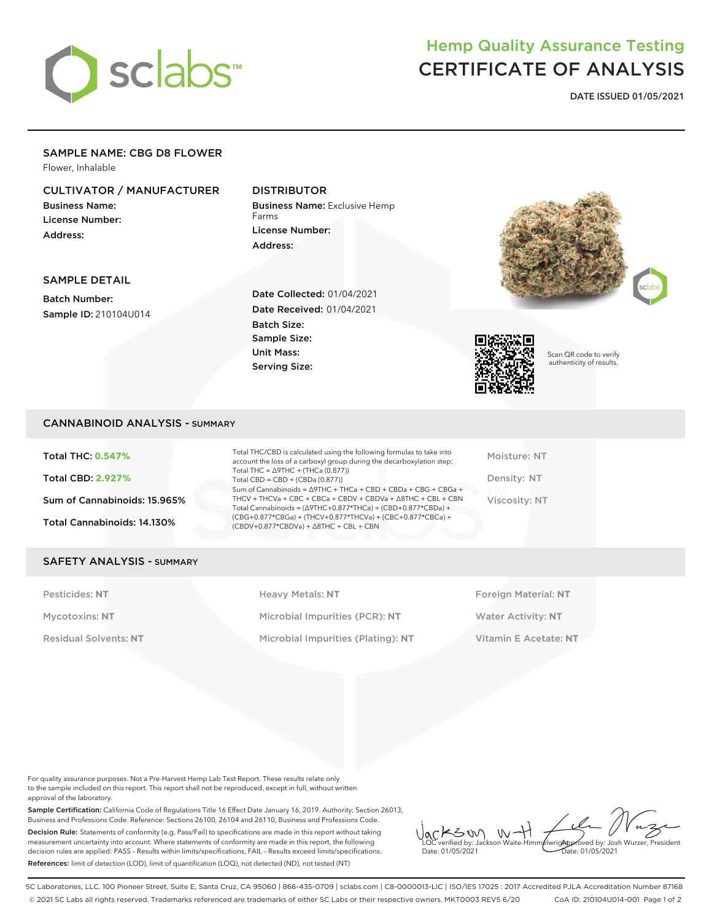

# Hemp Quality Assurance Testing CERTIFICATE OF ANALYSIS

**DATE ISSUED 01/05/2021**

### SAMPLE NAME: CBG D8 FLOWER

Flower, Inhalable

### CULTIVATOR / MANUFACTURER

Business Name: License Number: Address:

### DISTRIBUTOR

Business Name: Exclusive Hemp Farms License Number: Address:





Scan QR code to verify authenticity of results.

### SAMPLE DETAIL

Batch Number: Sample ID: 210104U014 Date Collected: 01/04/2021 Date Received: 01/04/2021 Batch Size: Sample Size: Unit Mass: Serving Size:

### CANNABINOID ANALYSIS - SUMMARY

Total THC: **0.547%** Total CBD: **2.927%** Sum of Cannabinoids: 15.965% Total Cannabinoids: 14.130%

Total THC/CBD is calculated using the following formulas to take into account the loss of a carboxyl group during the decarboxylation step: Total THC = ∆9THC + (THCa (0.877)) Total  $CBD = CBD + (CBDa (0.877))$ Sum of Cannabinoids = ∆9THC + THCa + CBD + CBDa + CBG + CBGa + THCV + THCVa + CBC + CBCa + CBDV + CBDVa + ∆8THC + CBL + CBN Total Cannabinoids = (∆9THC+0.877\*THCa) + (CBD+0.877\*CBDa) + (CBG+0.877\*CBGa) + (THCV+0.877\*THCVa) + (CBC+0.877\*CBCa) + (CBDV+0.877\*CBDVa) + ∆8THC + CBL + CBN

Moisture: NT Density: NT Viscosity: NT

#### SAFETY ANALYSIS - SUMMARY

Pesticides: NT **All Accords** Heavy Metals: NT **Foreign Material: NT** Pesticides: NT Mycotoxins: **NT** Microbial Impurities (PCR): **NT** Water Activity: **NT** Residual Solvents: **NT** Microbial Impurities (Plating): **NT** Vitamin E Acetate: **NT**

For quality assurance purposes. Not a Pre-Harvest Hemp Lab Test Report. These results relate only to the sample included on this report. This report shall not be reproduced, except in full, without written approval of the laboratory.

Sample Certification: California Code of Regulations Title 16 Effect Date January 16, 2019. Authority: Section 26013, Business and Professions Code. Reference: Sections 26100, 26104 and 26110, Business and Professions Code. Decision Rule: Statements of conformity (e.g. Pass/Fail) to specifications are made in this report without taking measurement uncertainty into account. Where statements of conformity are made in this report, the following decision rules are applied: PASS – Results within limits/specifications, FAIL – Results exceed limits/specifications. References: limit of detection (LOD), limit of quantification (LOQ), not detected (ND), not tested (NT)

 $W +$ KSW Approved by: Josh Wurzer, President LQC verified by: Jackson Waite-Himmelwright Date: 01/05/2021 Date: 01/05/2021

SC Laboratories, LLC. 100 Pioneer Street, Suite E, Santa Cruz, CA 95060 | 866-435-0709 | sclabs.com | C8-0000013-LIC | ISO/IES 17025 : 2017 Accredited PJLA Accreditation Number 87168 © 2021 SC Labs all rights reserved. Trademarks referenced are trademarks of either SC Labs or their respective owners. MKT0003 REV5 6/20 CoA ID: 210104U014-001 Page 1 of 2